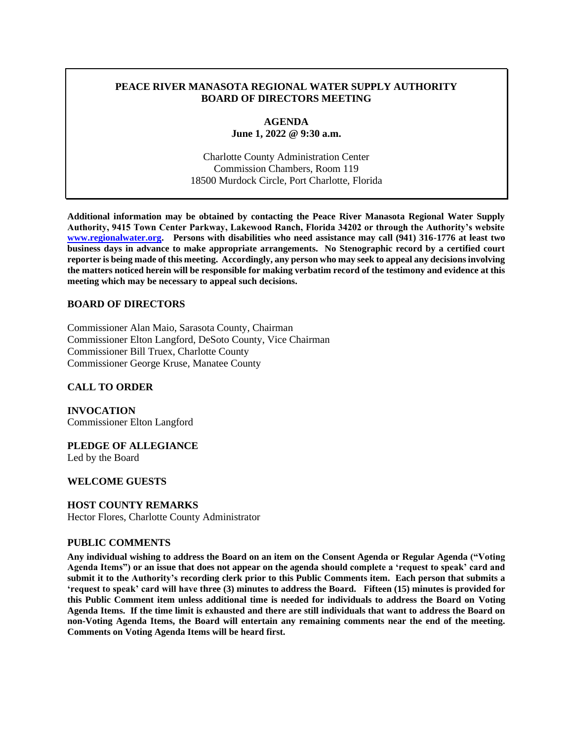### **PEACE RIVER MANASOTA REGIONAL WATER SUPPLY AUTHORITY BOARD OF DIRECTORS MEETING**

### **AGENDA June 1, 2022 @ 9:30 a.m.**

Charlotte County Administration Center Commission Chambers, Room 119 18500 Murdock Circle, Port Charlotte, Florida

**Additional information may be obtained by contacting the Peace River Manasota Regional Water Supply Authority, 9415 Town Center Parkway, Lakewood Ranch, Florida 34202 or through the Authority's website [www.regionalwater.org.](http://www.regionalwater.org/) Persons with disabilities who need assistance may call (941) 316-1776 at least two business days in advance to make appropriate arrangements. No Stenographic record by a certified court reporter is being made of this meeting. Accordingly, any person who may seek to appeal any decisions involving the matters noticed herein will be responsible for making verbatim record of the testimony and evidence at this meeting which may be necessary to appeal such decisions.**

### **BOARD OF DIRECTORS**

Commissioner Alan Maio, Sarasota County, Chairman Commissioner Elton Langford, DeSoto County, Vice Chairman Commissioner Bill Truex, Charlotte County Commissioner George Kruse, Manatee County

#### **CALL TO ORDER**

**INVOCATION** Commissioner Elton Langford

**PLEDGE OF ALLEGIANCE** Led by the Board

#### **WELCOME GUESTS**

# **HOST COUNTY REMARKS**

Hector Flores, Charlotte County Administrator

#### **PUBLIC COMMENTS**

**Any individual wishing to address the Board on an item on the Consent Agenda or Regular Agenda ("Voting Agenda Items") or an issue that does not appear on the agenda should complete a 'request to speak' card and submit it to the Authority's recording clerk prior to this Public Comments item. Each person that submits a 'request to speak' card will have three (3) minutes to address the Board. Fifteen (15) minutes is provided for this Public Comment item unless additional time is needed for individuals to address the Board on Voting Agenda Items. If the time limit is exhausted and there are still individuals that want to address the Board on non-Voting Agenda Items, the Board will entertain any remaining comments near the end of the meeting. Comments on Voting Agenda Items will be heard first.**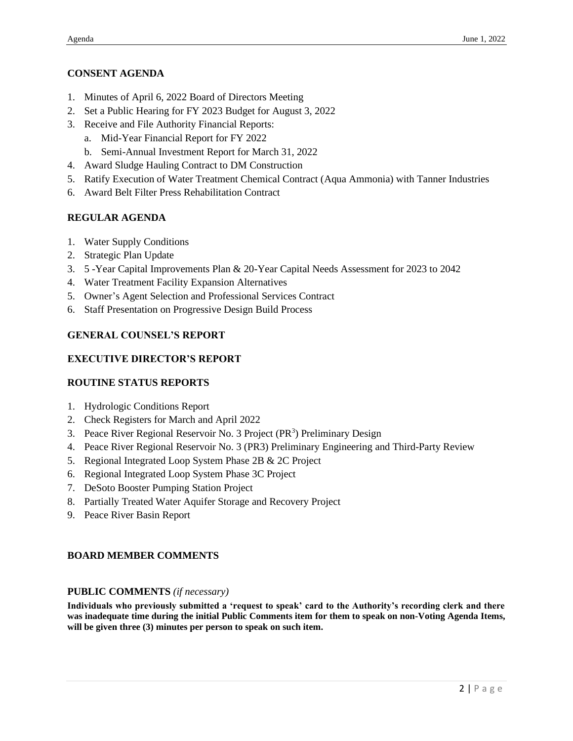### **CONSENT AGENDA**

- 1. Minutes of April 6, 2022 Board of Directors Meeting
- 2. Set a Public Hearing for FY 2023 Budget for August 3, 2022
- 3. Receive and File Authority Financial Reports:
	- a. Mid-Year Financial Report for FY 2022
	- b. Semi-Annual Investment Report for March 31, 2022
- 4. Award Sludge Hauling Contract to DM Construction
- 5. Ratify Execution of Water Treatment Chemical Contract (Aqua Ammonia) with Tanner Industries
- 6. Award Belt Filter Press Rehabilitation Contract

# **REGULAR AGENDA**

- 1. Water Supply Conditions
- 2. Strategic Plan Update
- 3. 5 -Year Capital Improvements Plan & 20-Year Capital Needs Assessment for 2023 to 2042
- 4. Water Treatment Facility Expansion Alternatives
- 5. Owner's Agent Selection and Professional Services Contract
- 6. Staff Presentation on Progressive Design Build Process

# **GENERAL COUNSEL'S REPORT**

# **EXECUTIVE DIRECTOR'S REPORT**

#### **ROUTINE STATUS REPORTS**

- 1. Hydrologic Conditions Report
- 2. Check Registers for March and April 2022
- 3. Peace River Regional Reservoir No. 3 Project (PR<sup>3</sup>) Preliminary Design
- 4. Peace River Regional Reservoir No. 3 (PR3) Preliminary Engineering and Third-Party Review
- 5. Regional Integrated Loop System Phase 2B & 2C Project
- 6. Regional Integrated Loop System Phase 3C Project
- 7. DeSoto Booster Pumping Station Project
- 8. Partially Treated Water Aquifer Storage and Recovery Project
- 9. Peace River Basin Report

# **BOARD MEMBER COMMENTS**

#### **PUBLIC COMMENTS** *(if necessary)*

**Individuals who previously submitted a 'request to speak' card to the Authority's recording clerk and there was inadequate time during the initial Public Comments item for them to speak on non-Voting Agenda Items, will be given three (3) minutes per person to speak on such item.**